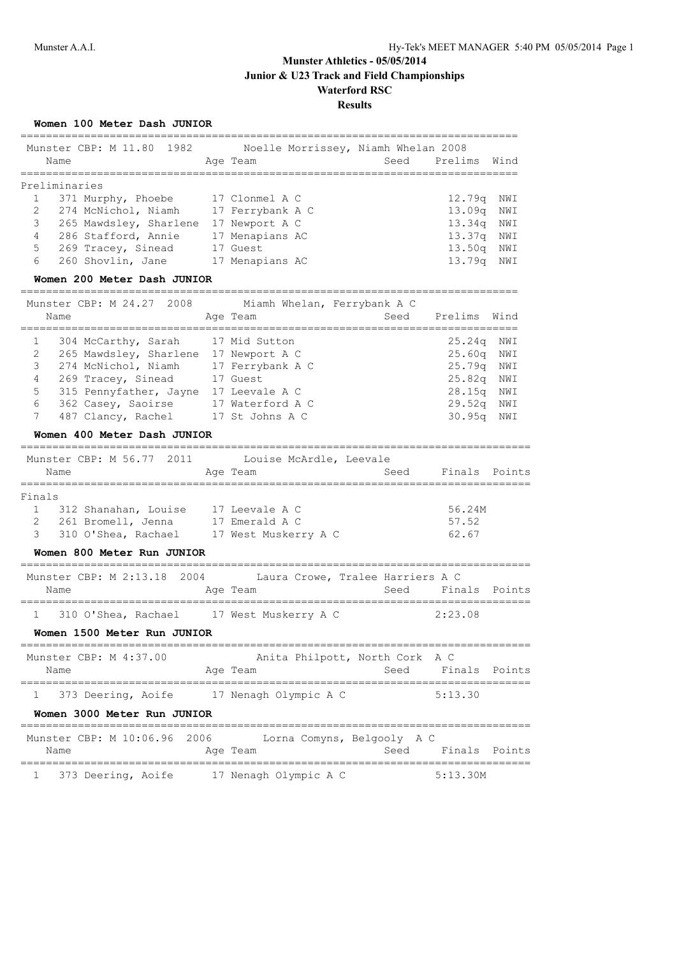|              | Munster CBP: M 11.80 1982<br>Name<br>-------------------                           |      | Noelle Morrissey, Niamh Whelan 2008<br>Age Team<br>======================== | Seed<br>=========================== | Prelims      | Wind   |
|--------------|------------------------------------------------------------------------------------|------|-----------------------------------------------------------------------------|-------------------------------------|--------------|--------|
|              | Preliminaries                                                                      |      |                                                                             |                                     |              |        |
| $\mathbf{1}$ | 371 Murphy, Phoebe 17 Clonmel A C                                                  |      |                                                                             |                                     | 12.79q       | NWI    |
| 2            | 274 McNichol, Niamh 17 Ferrybank A C                                               |      |                                                                             |                                     | 13.09q       | NWI    |
| 3            | 265 Mawdsley, Sharlene 17 Newport A C                                              |      |                                                                             |                                     | 13.34q       | NWI    |
| 4            | 286 Stafford, Annie                                                                |      | 17 Menapians AC                                                             |                                     | 13.37q NWI   |        |
| 5            | 269 Tracey, Sinead                                                                 |      | 17 Guest                                                                    |                                     | 13.50q NWI   |        |
| 6            | 260 Shovlin, Jane                                                                  |      | 17 Menapians AC                                                             |                                     | 13.79q       | NWI    |
|              | Women 200 Meter Dash JUNIOR                                                        |      |                                                                             |                                     |              |        |
|              | Munster CBP: M 24.27 2008                                                          |      | Miamh Whelan, Ferrybank A C                                                 |                                     |              |        |
|              | Name                                                                               |      | Age Team                                                                    | ____________________________        | Seed Prelims | Wind   |
| 1            | 304 McCarthy, Sarah                                                                |      | 17 Mid Sutton                                                               |                                     | 25.24q       | NWI    |
| 2            | 265 Mawdsley, Sharlene 17 Newport A C                                              |      |                                                                             |                                     | 25.60q       | NWI    |
| 3            | 274 McNichol, Niamh 17 Ferrybank A C                                               |      |                                                                             |                                     | 25.79q       | NWI    |
| 4            | 269 Tracey, Sinead 17 Guest                                                        |      |                                                                             |                                     | 25.82q NWI   |        |
| 5            | 315 Pennyfather, Jayne 17 Leevale A C                                              |      |                                                                             |                                     | 28.15q NWI   |        |
| 6            | 362 Casey, Saoirse 17 Waterford A C                                                |      |                                                                             |                                     | 29.52q       | NWI    |
| 7            | 487 Clancy, Rachel 17 St Johns A C                                                 |      |                                                                             |                                     | 30.95q       | NWI    |
|              | Women 400 Meter Dash JUNIOR                                                        |      |                                                                             |                                     |              |        |
|              | Munster CBP: M 56.77 2011 Louise McArdle, Leevale                                  |      |                                                                             |                                     |              |        |
|              | Name<br>==============                                                             |      | Age Team                                                                    | Seed                                | Finals       | Points |
| Finals       |                                                                                    |      |                                                                             |                                     |              |        |
| $\mathbf{1}$ | 312 Shanahan, Louise 17 Leevale A C                                                |      |                                                                             |                                     | 56.24M       |        |
| 2            | 261 Bromell, Jenna                                                                 |      | 17 Emerald A C                                                              |                                     | 57.52        |        |
| 3            | 310 O'Shea, Rachael 17 West Muskerry A C                                           |      |                                                                             |                                     | 62.67        |        |
|              | Women 800 Meter Run JUNIOR                                                         |      |                                                                             |                                     |              |        |
|              | Munster CBP: M 2:13.18                                                             | 2004 | Laura Crowe, Tralee Harriers A C                                            |                                     |              |        |
|              | Name                                                                               |      | Age Team                                                                    | Seed                                | Finals       | Points |
| $\mathbf{1}$ | ==================================<br>310 O'Shea, Rachael     17 West Muskerry A C |      |                                                                             |                                     | 2:23.08      |        |
|              | Women 1500 Meter Run JUNIOR                                                        |      |                                                                             |                                     |              |        |
|              |                                                                                    |      |                                                                             |                                     |              |        |
|              | Munster CBP: M 4:37.00<br>Name                                                     |      | Anita Philpott, North Cork A C<br>Age Team                                  | Seed                                | Finals       | Points |
|              |                                                                                    |      |                                                                             |                                     |              |        |
|              | 373 Deering, Aoife                                                                 |      | 17 Nenagh Olympic A C                                                       |                                     | 5:13.30      |        |
|              | Women 3000 Meter Run JUNIOR                                                        |      |                                                                             |                                     |              |        |
|              | Munster CBP: M 10:06.96<br>2006                                                    |      | Lorna Comyns, Belgooly A C                                                  |                                     |              |        |
|              | Name                                                                               |      | Age Team                                                                    | Seed                                | Finals       | Points |
|              |                                                                                    |      |                                                                             |                                     |              |        |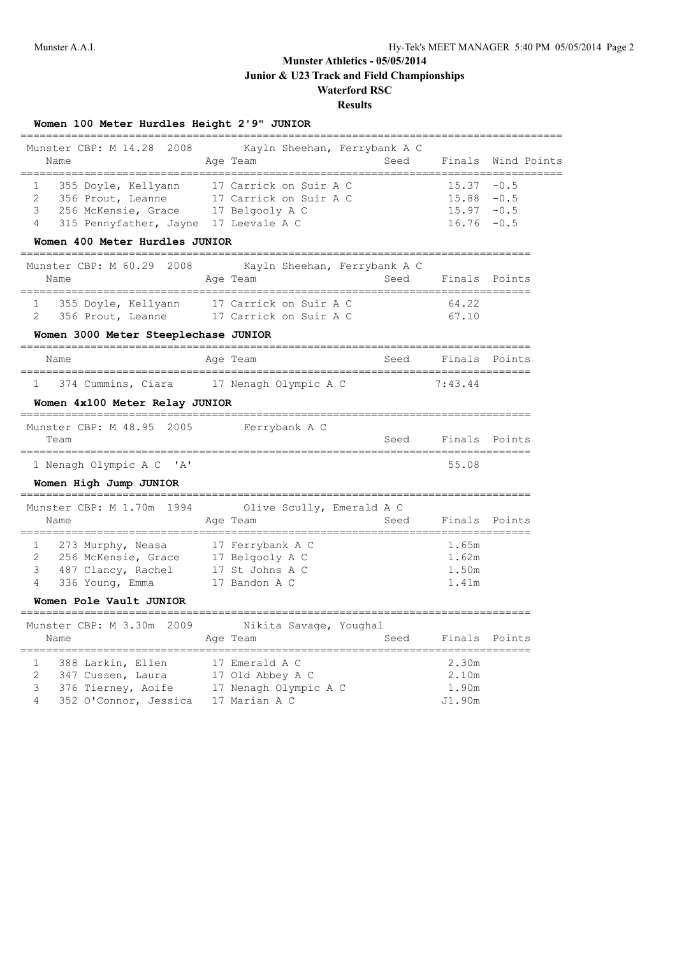# **Munster Athletics - 05/05/2014**

**Junior & U23 Track and Field Championships**

#### **Waterford RSC Results**

| Women 100 Meter Hurdles Height 2'9" JUNIOR |  |  |  |  |  |  |  |
|--------------------------------------------|--|--|--|--|--|--|--|
|--------------------------------------------|--|--|--|--|--|--|--|

|                                                                                                                                                                   | . _____________________________                                                                      |      |                                          |                            |
|-------------------------------------------------------------------------------------------------------------------------------------------------------------------|------------------------------------------------------------------------------------------------------|------|------------------------------------------|----------------------------|
| Munster CBP: M 14.28 2008<br>Name                                                                                                                                 | Kayln Sheehan, Ferrybank A C<br>Age Team                                                             | Seed | Finals                                   | Wind Points                |
| 355 Doyle, Kellyann<br>1<br>2<br>356 Prout, Leanne<br>256 McKensie, Grace 17 Belgooly A C<br>3<br>4<br>315 Pennyfather, Jayne 17 Leevale A C                      | 17 Carrick on Suir A C<br>17 Carrick on Suir A C                                                     |      | 15.37<br>$15.88 - 0.5$<br>15.97<br>16.76 | $-0.5$<br>$-0.5$<br>$-0.5$ |
| Women 400 Meter Hurdles JUNIOR                                                                                                                                    |                                                                                                      |      |                                          |                            |
| Munster CBP: M 60.29 2008<br>Name                                                                                                                                 | Kayln Sheehan, Ferrybank A C<br>Age Team                                                             | Seed | Finals                                   | Points                     |
| 355 Doyle, Kellyann 17 Carrick on Suir A C<br>$\mathbf{1}$<br>$\overline{2}$<br>356 Prout, Leanne 17 Carrick on Suir A C                                          |                                                                                                      |      | 64.22<br>67.10                           |                            |
| Women 3000 Meter Steeplechase JUNIOR                                                                                                                              |                                                                                                      |      |                                          |                            |
| Name                                                                                                                                                              | Age Team                                                                                             | Seed |                                          | Finals Points              |
| 374 Cummins, Ciara                                                                                                                                                | 17 Nenagh Olympic A C                                                                                |      | 7:43.44                                  |                            |
| Women 4x100 Meter Relay JUNIOR                                                                                                                                    |                                                                                                      |      |                                          |                            |
| Munster CBP: M 48.95 2005<br>Team                                                                                                                                 | Ferrybank A C                                                                                        | Seed |                                          | Finals Points              |
| 1 Nenagh Olympic A C<br>$^{\prime}$ A $^{\prime}$                                                                                                                 |                                                                                                      |      | ===========================<br>55.08     |                            |
| Women High Jump JUNIOR                                                                                                                                            |                                                                                                      |      |                                          |                            |
| Munster CBP: M 1.70m 1994<br>Name                                                                                                                                 | Olive Scully, Emerald A C<br>Age Team                                                                | Seed |                                          | Finals Points              |
| =====================<br>$1 \quad$<br>273 Murphy, Neasa<br>2<br>256 McKensie, Grace<br>3<br>487 Clancy, Rachel<br>4<br>336 Young, Emma<br>Women Pole Vault JUNIOR | =========================<br>17 Ferrybank A C<br>17 Belgooly A C<br>17 St Johns A C<br>17 Bandon A C |      | 1.65m<br>1.62m<br>1.50m<br>1.41m         |                            |
| ------------------                                                                                                                                                |                                                                                                      |      |                                          |                            |
| Munster CBP: M 3.30m 2009<br>Name                                                                                                                                 | Nikita Savage, Youghal<br>Age Team                                                                   | Seed | ___________________________              | Finals Points              |
| 1<br>388 Larkin, Ellen<br>2<br>347 Cussen, Laura<br>3<br>376 Tierney, Aoife<br>4<br>352 O'Connor, Jessica                                                         | 17 Emerald A C<br>17 Old Abbey A C<br>17 Nenagh Olympic A C<br>17 Marian A C                         |      | 2.30m<br>2.10m<br>1.90m<br>J1.90m        |                            |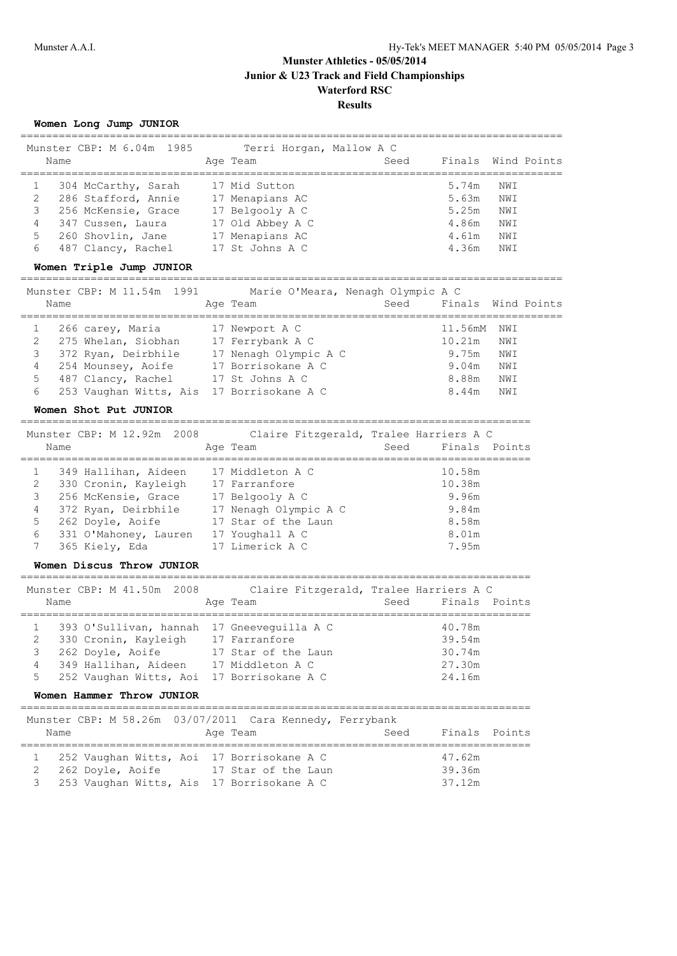|   | Women Long Jump JUNIOR<br>-----------------------------------                           |                                                    |      |               |             |             |
|---|-----------------------------------------------------------------------------------------|----------------------------------------------------|------|---------------|-------------|-------------|
|   | Munster CBP: M 6.04m 1985                                                               | Terri Horgan, Mallow A C                           |      |               |             |             |
|   | Name                                                                                    | Age Team                                           | Seed | Finals        | =========== | Wind Points |
| 1 | 304 McCarthy, Sarah                                                                     | 17 Mid Sutton                                      |      | 5.74m         | NWI         |             |
| 2 | 286 Stafford, Annie 17 Menapians AC                                                     |                                                    |      | 5.63m         | NWI         |             |
| 3 | 256 McKensie, Grace                                                                     | 17 Belgooly A C                                    |      | 5.25m         | NWI         |             |
| 4 | 347 Cussen, Laura                                                                       | -<br>17 Old Abbey A C                              |      | 4.86m         | NWI         |             |
| 5 | 260 Shovlin, Jane 17 Menapians AC                                                       |                                                    |      | 4.61m         | NWI         |             |
| 6 | 487 Clancy, Rachel 17 St Johns A C                                                      |                                                    |      | 4.36m         | NWI         |             |
|   | Women Triple Jump JUNIOR                                                                |                                                    |      |               |             |             |
|   | Munster CBP: M 11.54m 1991                                                              | Marie O'Meara, Nenagh Olympic A C                  |      |               |             |             |
|   | Name                                                                                    | Age Team                                           | Seed | Finals        |             | Wind Points |
|   |                                                                                         |                                                    |      |               |             |             |
| 1 | 266 carey, Maria                                                                        | 17 Newport A C                                     |      | 11.56mM       | NWI         |             |
| 2 | 275 Whelan, Siobhan 17 Ferrybank A C                                                    |                                                    |      | 10.21m        | NWI         |             |
| 3 | 372 Ryan, Deirbhile                                                                     | 17 Nenagh Olympic A C                              |      | 9.75m         | NWI         |             |
| 4 | 254 Mounsey, Aoife 17 Borrisokane A C                                                   |                                                    |      | 9.04m         | NWI         |             |
| 5 | 487 Clancy, Rachel                                                                      | 17 St Johns A C                                    |      | 8.88m         | NWI         |             |
| 6 | 253 Vaughan Witts, Ais 17 Borrisokane A C                                               |                                                    |      | 8.44m         | NWI         |             |
|   | Women Shot Put JUNIOR                                                                   |                                                    |      |               |             |             |
|   | Munster CBP: M 12.92m 2008                                                              | Claire Fitzgerald, Tralee Harriers A C             |      |               |             |             |
|   | Name                                                                                    | Age Team                                           | Seed | Finals Points |             |             |
| 1 | 349 Hallihan, Aideen 17 Middleton A C                                                   |                                                    |      | 10.58m        |             |             |
| 2 |                                                                                         |                                                    |      | 10.38m        |             |             |
| 3 | 330 Cronin, Kayleigh 17 Farranfore<br>256 McKensie, Grace 17 Belgooly A C               |                                                    |      | 9.96m         |             |             |
| 4 | 372 Ryan, Deirbhile 17 Nenagh Olympic A C                                               |                                                    |      | 9.84m         |             |             |
| 5 | 262 Doyle, Aoife                                                                        | 17 Star of the Laun                                |      | 8.58m         |             |             |
| 6 | 331 O'Mahoney, Lauren                                                                   | 17 Youghall A C                                    |      | 8.01m         |             |             |
| 7 | 365 Kiely, Eda                                                                          | 17 Limerick A C                                    |      | 7.95m         |             |             |
|   | Women Discus Throw JUNIOR                                                               |                                                    |      |               |             |             |
|   | =============================                                                           | ==================================                 |      |               |             |             |
|   | Munster CBP: M 41.50m 2008<br>Name                                                      | Claire Fitzgerald, Tralee Harriers A C<br>Age Team | Seed | Finals Points |             |             |
|   |                                                                                         |                                                    |      |               |             |             |
| 1 | 393 O'Sullivan, hannah 17 Gneeveguilla A C                                              |                                                    |      | 40.78m        |             |             |
| 2 | 330 Cronin, Kayleigh 17 Farranfore                                                      |                                                    |      | 39.54m        |             |             |
| 3 | 262 Doyle, Aoife                                                                        | 17 Star of the Laun                                |      | 30.74m        |             |             |
| 4 | 349 Hallihan, Aideen 17 Middleton A C                                                   |                                                    |      | 27.30m        |             |             |
| 5 | 252 Vaughan Witts, Aoi 17 Borrisokane A C                                               |                                                    |      | 24.16m        |             |             |
|   | Women Hammer Throw JUNIOR                                                               |                                                    |      |               |             |             |
|   | ===========================<br>Munster CBP: M 58.26m 03/07/2011 Cara Kennedy, Ferrybank |                                                    |      |               |             |             |
|   | Name                                                                                    | Age Team                                           | Seed | Finals        | Points      |             |
|   |                                                                                         |                                                    |      |               |             |             |
| 1 | 252 Vaughan Witts, Aoi 17 Borrisokane A C                                               |                                                    |      | 47.62m        |             |             |
| 2 | 262 Doyle, Aoife 17 Star of the Laun                                                    |                                                    |      | 39.36m        |             |             |
| 3 | 253 Vaughan Witts, Ais 17 Borrisokane A C                                               |                                                    |      | 37.12m        |             |             |
|   |                                                                                         |                                                    |      |               |             |             |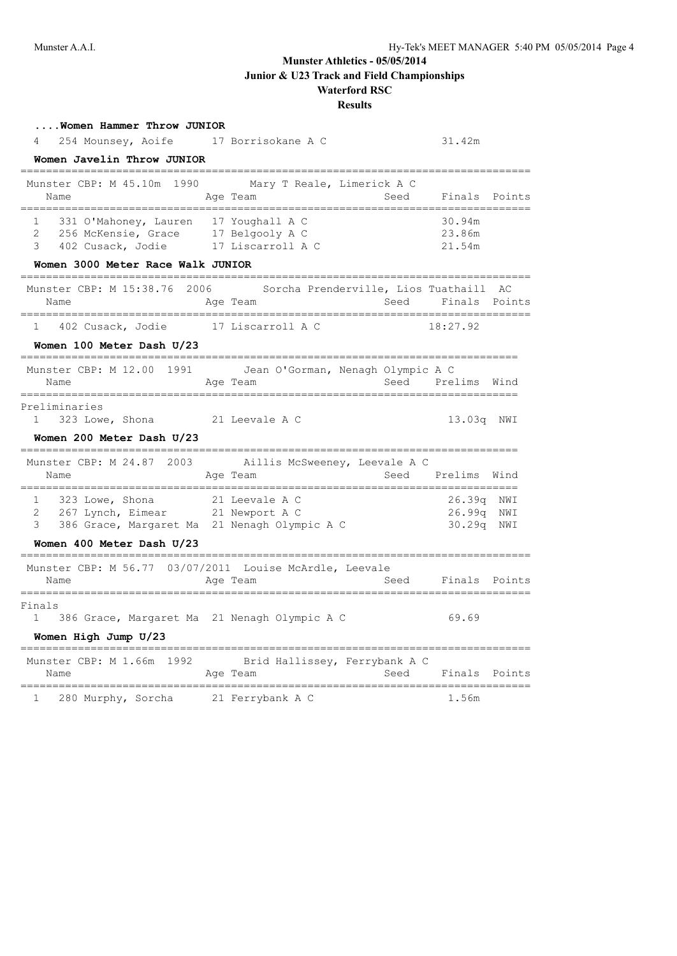| Women Hammer Throw JUNIOR<br>254 Mounsey, Aoife 17 Borrisokane A C<br>4                                                                               |                                                    |                | 31.42m                             |                |
|-------------------------------------------------------------------------------------------------------------------------------------------------------|----------------------------------------------------|----------------|------------------------------------|----------------|
| Women Javelin Throw JUNIOR                                                                                                                            |                                                    |                |                                    |                |
| 1990<br>Munster CBP: M 45.10m<br>Name                                                                                                                 | Mary T Reale, Limerick A C<br>Age Team             | Seed           | Finals Points                      |                |
| 331 O'Mahoney, Lauren 17 Youghall A C<br>256 McKensie, Grace 17 Belgooly A C<br>1<br>2<br>402 Cusack, Jodie<br>3<br>Women 3000 Meter Race Walk JUNIOR | 17 Liscarroll A C                                  |                | 30.94m<br>23.86m<br>21.54m         |                |
| ----------------------------------<br>Munster CBP: M 15:38.76 2006<br>Name                                                                            | Sorcha Prenderville, Lios Tuathaill AC<br>Age Team | Seed           | Finals Points                      |                |
| 402 Cusack, Jodie<br>$\mathbf{1}$                                                                                                                     | 17 Liscarroll A C                                  |                | 18:27.92                           |                |
| Women 100 Meter Dash U/23                                                                                                                             |                                                    |                |                                    |                |
| Munster CBP: M 12.00 1991<br>Name<br>.======================                                                                                          | Jean O'Gorman, Nenagh Olympic A C<br>Age Team      | Seed           | Prelims Wind                       |                |
| Preliminaries<br>$\mathbf{1}$<br>323 Lowe, Shona<br>Women 200 Meter Dash U/23                                                                         | 21 Leevale A C                                     |                | 13.03q NWI                         |                |
| Munster CBP: M 24.87 2003 Aillis McSweeney, Leevale A C<br>Name                                                                                       | Age Team                                           |                | Seed Prelims Wind                  |                |
| 323 Lowe, Shona<br>1<br>267 Lynch, Eimear<br>$\overline{2}$<br>3<br>386 Grace, Margaret Ma 21 Nenagh Olympic A C<br>Women 400 Meter Dash U/23         | 21 Leevale A C<br>21 Newport A C                   | ============== | 26.39q<br>26.99q NWI<br>30.29q NWI | =======<br>NWI |
| Munster CBP: M 56.77 03/07/2011 Louise McArdle, Leevale<br>Name                                                                                       | Age Team                                           | Seed           | Finals Points                      |                |
| Finals<br>386 Grace, Margaret Ma 21 Nenagh Olympic A C<br>Women High Jump U/23                                                                        |                                                    |                | 69.69                              |                |
| Munster CBP: M 1.66m 1992<br>Name                                                                                                                     | Brid Hallissey, Ferrybank A C<br>Age Team          | Seed           | Finals                             | Points         |
| $1 \quad$<br>280 Murphy, Sorcha 21 Ferrybank A C                                                                                                      |                                                    |                | 1.56m                              |                |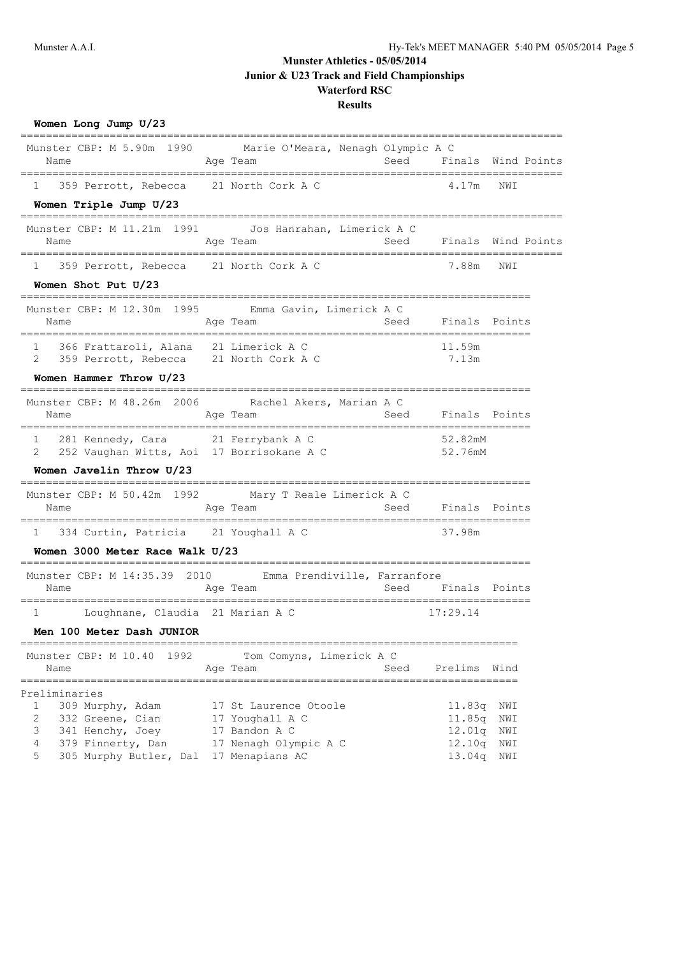| Women Long Jump U/23                                                                      |                                                                           |      |                                           |                         |
|-------------------------------------------------------------------------------------------|---------------------------------------------------------------------------|------|-------------------------------------------|-------------------------|
| Munster CBP: M 5.90m 1990<br>Name<br>___________________________________                  | Marie O'Meara, Nenagh Olympic A C<br>Age Team<br>.======================= | Seed |                                           | Finals Wind Points      |
| 359 Perrott, Rebecca 21 North Cork A C<br>$\mathbf{1}$                                    |                                                                           |      | 4.17m                                     | NWI                     |
| Women Triple Jump U/23                                                                    | . ___________<br>-------------------------                                |      |                                           |                         |
| Munster CBP: M 11.21m 1991                                                                | Jos Hanrahan, Limerick A C                                                |      |                                           |                         |
| Name<br>________________________________                                                  | Age Team<br>--------------------------------                              |      |                                           | Seed Finals Wind Points |
| 359 Perrott, Rebecca 21 North Cork A C<br>ı.                                              |                                                                           |      | 7.88m                                     | NWI                     |
| Women Shot Put U/23                                                                       |                                                                           |      |                                           |                         |
| Munster CBP: M 12.30m 1995 Emma Gavin, Limerick A C                                       |                                                                           |      |                                           |                         |
| Name                                                                                      | Age Team                                                                  | Seed | Finals Points                             |                         |
| 366 Frattaroli, Alana 21 Limerick A C<br>1                                                |                                                                           |      | 11.59m                                    |                         |
| 2<br>359 Perrott, Rebecca 21 North Cork A C                                               |                                                                           |      | 7.13m                                     |                         |
| Women Hammer Throw U/23                                                                   |                                                                           |      |                                           |                         |
| Munster CBP: M 48.26m 2006<br>Name                                                        | Rachel Akers, Marian A C<br>Age Team                                      | Seed | Finals Points                             |                         |
| 281 Kennedy, Cara 21 Ferrybank A C<br>1<br>252 Vaughan Witts, Aoi 17 Borrisokane A C<br>2 |                                                                           |      | 52.82mM<br>52.76mM                        |                         |
| Women Javelin Throw U/23                                                                  |                                                                           |      |                                           |                         |
| Munster CBP: M 50.42m 1992 Mary T Reale Limerick A C<br>Name                              | Age Team                                                                  | Seed | Finals Points<br>======================== |                         |
| 334 Curtin, Patricia 21 Youghall A C<br>ı                                                 |                                                                           |      | 37.98m                                    |                         |
| Women 3000 Meter Race Walk U/23                                                           |                                                                           |      |                                           |                         |
| Munster CBP: M 14:35.39 2010 Emma Prendiville, Farranfore<br>Name                         | Age Team                                                                  | Seed | Finals Points                             |                         |
| Loughnane, Claudia 21 Marian A C<br>1                                                     |                                                                           |      | 17:29.14                                  |                         |
| Men 100 Meter Dash JUNIOR                                                                 |                                                                           |      |                                           |                         |
|                                                                                           |                                                                           |      |                                           |                         |
| 1992<br>Munster CBP: M 10.40<br>Name<br>==========                                        | Tom Comyns, Limerick A C<br>Age Team                                      | Seed | Prelims                                   | Wind                    |
| Preliminaries<br>1<br>309 Murphy, Adam                                                    | 17 St Laurence Otoole                                                     |      | 11.83q                                    | NWI                     |
| 2<br>332 Greene, Cian                                                                     | 17 Youghall A C                                                           |      | 11.85q                                    | NWI                     |
| 3<br>341 Henchy, Joey<br>4<br>379 Finnerty, Dan                                           | 17 Bandon A C<br>17 Nenagh Olympic A C                                    |      | 12.01q<br>12.10q                          | NWI<br>NWI              |
| 5<br>305 Murphy Butler, Dal                                                               | 17 Menapians AC                                                           |      | 13.04q                                    | NWI                     |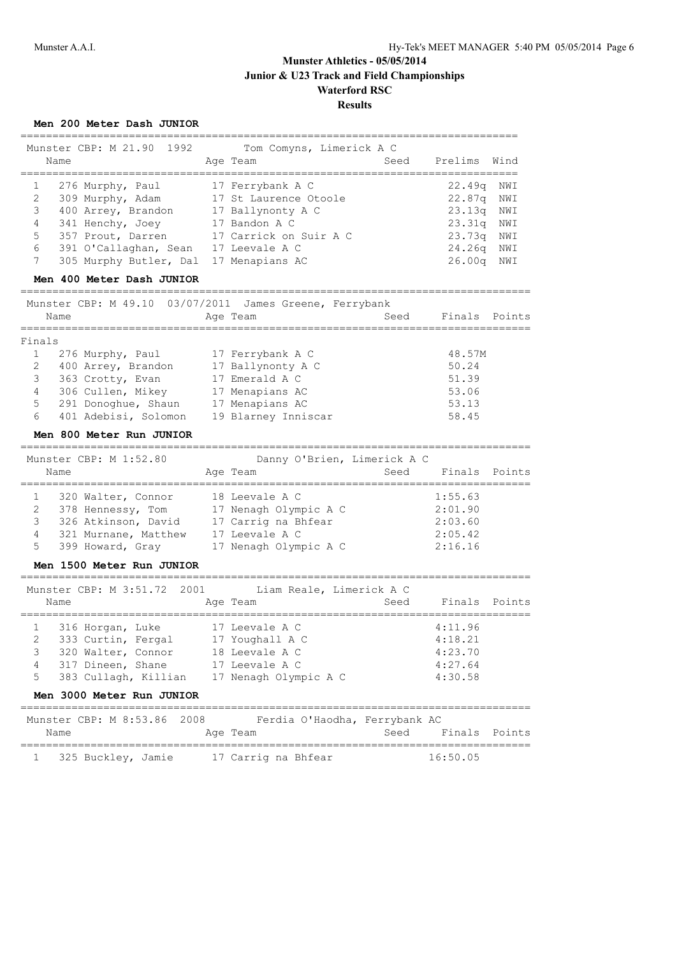|                            | Men 200 Meter Dash JUNIOR                                                                                                                             |                                                                                                                      |                                       |                                                     |                          |
|----------------------------|-------------------------------------------------------------------------------------------------------------------------------------------------------|----------------------------------------------------------------------------------------------------------------------|---------------------------------------|-----------------------------------------------------|--------------------------|
|                            | Munster CBP: M 21.90<br>1992<br>Name<br>=============                                                                                                 | Tom Comyns, Limerick A C<br>Age Team<br>______________________                                                       | Seed                                  | Prelims<br>------------------------                 | Wind                     |
| 1<br>2<br>3<br>4<br>5      | 276 Murphy, Paul<br>309 Murphy, Adam 17 St Laurence Otoole<br>400 Arrey, Brandon 17 Ballynonty A C<br>341 Henchy, Joey<br>357 Prout, Darren           | 17 Ferrybank A C<br>17 Bandon A C<br>17 Carrick on Suir A C                                                          |                                       | 22.49q<br>22.87q<br>23.13q<br>23.31q<br>23.73q      | NWI<br>NWI<br>NWI<br>NWI |
| 6<br>7                     | 391 O'Callaghan, Sean<br>305 Murphy Butler, Dal                                                                                                       | 17 Leevale A C<br>17 Menapians AC                                                                                    |                                       | 24.26q<br>26.00q                                    | NWI<br>NWI<br>NWI        |
|                            | Men 400 Meter Dash JUNIOR                                                                                                                             |                                                                                                                      |                                       |                                                     |                          |
|                            | Munster CBP: M 49.10 03/07/2011 James Greene, Ferrybank<br>Name                                                                                       | Age Team                                                                                                             | Seed                                  | Finals Points                                       |                          |
| Finals                     | :===============                                                                                                                                      |                                                                                                                      | . _ _ _ _ _ _ _ _ _ _ _ _ _ _ _ _ _ _ |                                                     |                          |
| 1<br>2<br>3<br>4<br>5<br>6 | 276 Murphy, Paul<br>400 Arrey, Brandon<br>363 Crotty, Evan<br>306 Cullen, Mikey<br>291 Donoghue, Shaun<br>401 Adebisi, Solomon                        | 17 Ferrybank A C<br>17 Ballynonty A C<br>17 Emerald A C<br>17 Menapians AC<br>17 Menapians AC<br>19 Blarney Inniscar |                                       | 48.57M<br>50.24<br>51.39<br>53.06<br>53.13<br>58.45 |                          |
|                            | Men 800 Meter Run JUNIOR                                                                                                                              |                                                                                                                      |                                       |                                                     |                          |
|                            | ===============================<br>Munster CBP: M 1:52.80<br>Name                                                                                     | -----------------------------<br>Danny O'Brien, Limerick A C<br>Age Team                                             | Seed                                  | Finals                                              | Points                   |
| 1<br>2<br>3<br>4<br>5      | 320 Walter, Connor<br>378 Hennessy, Tom<br>326 Atkinson, David<br>321 Murnane, Matthew<br>399 Howard, Gray                                            | 18 Leevale A C<br>17 Nenagh Olympic A C<br>17 Carrig na Bhfear<br>17 Leevale A C<br>17 Nenagh Olympic A C            | ================                      | 1:55.63<br>2:01.90<br>2:03.60<br>2:05.42<br>2:16.16 |                          |
|                            | Men 1500 Meter Run JUNIOR                                                                                                                             |                                                                                                                      |                                       |                                                     |                          |
|                            | Munster CBP: M 3:51.72 2001 Liam Reale, Limerick A C<br>Name                                                                                          | Age Team                                                                                                             | Seed                                  | Finals Points                                       |                          |
| 2<br>3<br>4<br>5           | 316 Horgan, Luke 17 Leevale A C<br>333 Curtin, Fergal<br>320 Walter, Connor<br>317 Dineen, Shane<br>383 Cullagh, Killian<br>Men 3000 Meter Run JUNIOR | 17 Youghall A C<br>18 Leevale A C<br>17 Leevale A C<br>17 Nenagh Olympic A C                                         |                                       | 4:11.96<br>4:18.21<br>4:23.70<br>4:27.64<br>4:30.58 |                          |
|                            | Munster CBP: M 8:53.86<br>Name                                                                                                                        | 2008 Ferdia O'Haodha, Ferrybank AC<br>Age Team                                                                       | Seed                                  | Finals Points                                       |                          |
| $\mathbf{1}$               | =================================<br>325 Buckley, Jamie                                                                                               | 17 Carrig na Bhfear                                                                                                  |                                       | 16:50.05                                            |                          |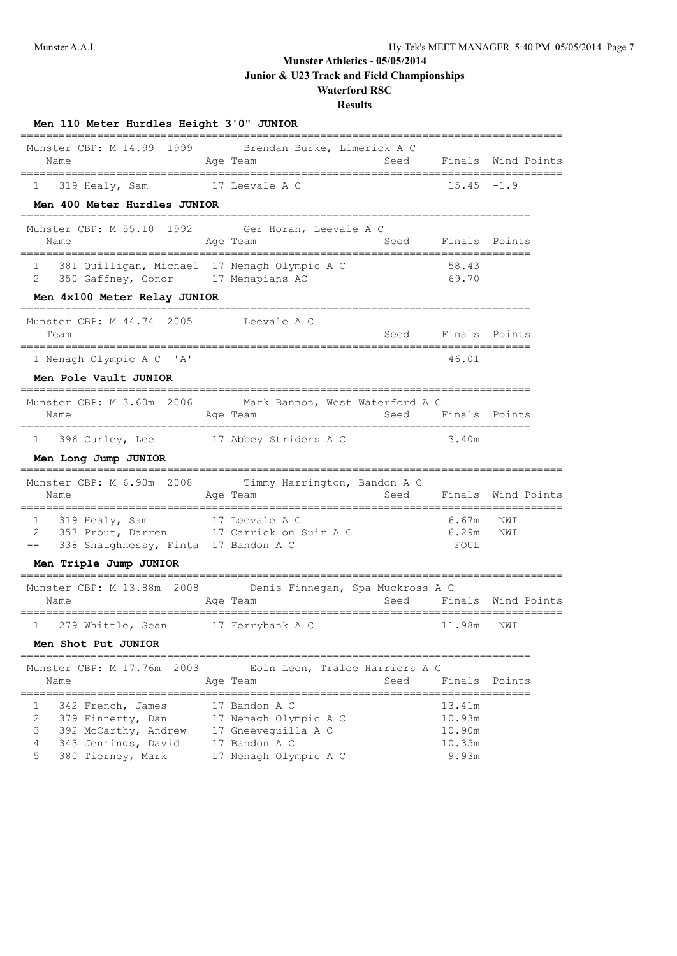# **Munster Athletics - 05/05/2014**

**Junior & U23 Track and Field Championships**

#### **Waterford RSC Results**

| Men 110 Meter Hurdles Height 3'0" JUNIOR                                                |                                                                                   |      |                        |            |             |
|-----------------------------------------------------------------------------------------|-----------------------------------------------------------------------------------|------|------------------------|------------|-------------|
| Munster CBP: M 14.99<br>1999<br>Name<br>--------------------------------                | Brendan Burke, Limerick A C<br>Age Team                                           | Seed | Finals                 |            | Wind Points |
| 319 Healy, Sam<br>1<br>Men 400 Meter Hurdles JUNIOR                                     | 17 Leevale A C                                                                    |      | $15.45 - 1.9$          |            |             |
| 1992<br>Munster CBP: M 55.10<br>Name                                                    | Ger Horan, Leevale A C<br>Age Team                                                | Seed | Finals                 | Points     |             |
| 381 Quilligan, Michael 17 Nenagh Olympic A C<br>$\mathbf{1}$<br>2<br>350 Gaffney, Conor | 17 Menapians AC                                                                   |      | 58.43<br>69.70         |            |             |
| Men 4x100 Meter Relay JUNIOR<br>--------------------                                    |                                                                                   |      |                        |            |             |
| Munster CBP: M 44.74<br>2005<br>Team                                                    | Leevale A C<br>---------------                                                    | Seed | Finals Points          | =======    |             |
| 1 Nenagh Olympic A C 'A'                                                                |                                                                                   |      | 46.01                  |            |             |
| Men Pole Vault JUNIOR                                                                   |                                                                                   |      |                        |            |             |
| Munster CBP: M 3.60m 2006 Mark Bannon, West Waterford A C<br>Name                       | Age Team                                                                          | Seed | Finals Points          |            |             |
| 396 Curley, Lee<br>1                                                                    | 17 Abbey Striders A C                                                             |      | 3.40m                  |            |             |
| Men Long Jump JUNIOR                                                                    |                                                                                   |      |                        |            |             |
| Munster CBP: M 6.90m 2008<br>Name                                                       | Timmy Harrington, Bandon A C<br>Age Team                                          | Seed | Finals Wind Points     |            |             |
| 1<br>319 Healy, Sam<br>2<br>357 Prout, Darren<br>338 Shaughnessy, Finta 17 Bandon A C   | ============<br>17 Leevale A C<br>17 Carrick on Suir A C                          |      | 6.67m<br>6.29m<br>FOUL | NWI<br>NWI |             |
| Men Triple Jump JUNIOR<br>----------------                                              | -------------------------------                                                   |      |                        |            |             |
| Munster CBP: M 13.88m 2008<br>Name<br>==============================                    | Denis Finnegan, Spa Muckross A C<br>Age Team<br>================================= | Seed | Finals Wind Points     |            |             |
| 279 Whittle, Sean<br>$\mathbf{1}$                                                       | 17 Ferrybank A C                                                                  |      | 11.98m                 | NWI        |             |
| Men Shot Put JUNIOR                                                                     |                                                                                   |      |                        |            |             |
| Munster CBP: M 17.76m 2003                                                              | Eoin Leen, Tralee Harriers A C                                                    |      |                        |            |             |

|   | Name | MUNSTEL CBP: M I / . / 6M 2003 | Loin Leen, Tralee Harriers A C<br>Age Team | Seed | Finals Points |  |
|---|------|--------------------------------|--------------------------------------------|------|---------------|--|
|   |      | 342 French, James              | 17 Bandon A C                              |      | 13.41m        |  |
|   |      | 379 Finnerty, Dan              | 17 Nenagh Olympic A C                      |      | 10.93m        |  |
|   |      | 392 McCarthy, Andrew           | 17 Gneeveguilla A C                        |      | 10.90m        |  |
|   |      | 343 Jennings, David            | 17 Bandon A C                              |      | 10.35m        |  |
| 5 |      | 380 Tierney, Mark              | 17 Nenagh Olympic A C                      |      | 9.93m         |  |
|   |      |                                |                                            |      |               |  |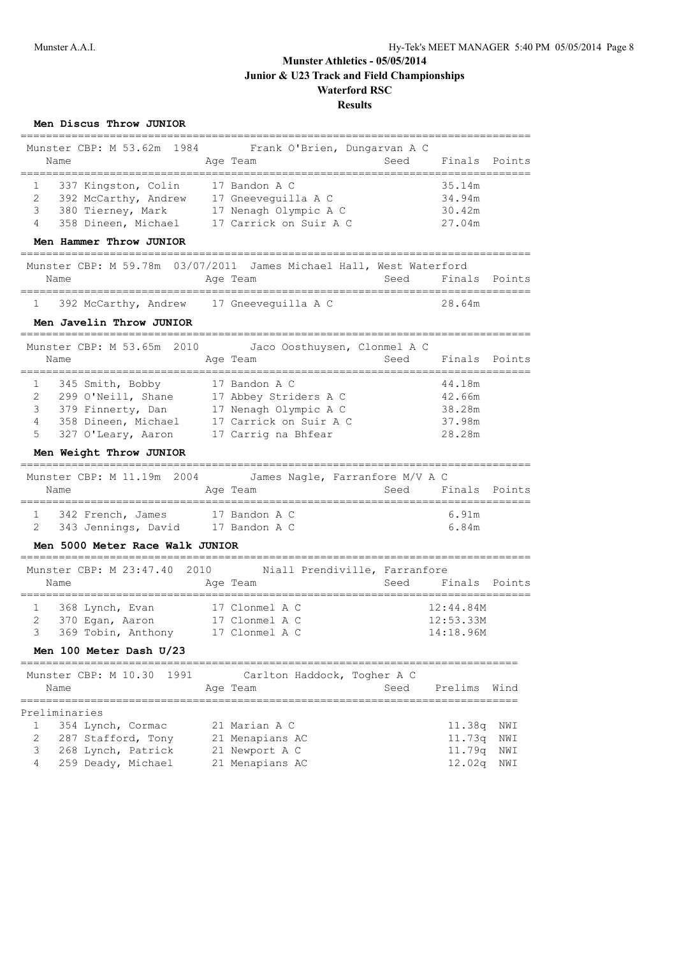**Men Discus Throw JUNIOR** ================================================================================ Munster CBP: M 53.62m 1984 Frank O'Brien, Dungarvan A C Name **Age Team** Seed Finals Points Age Team Seed Finals Points ================================================================================ 1 337 Kingston, Colin 17 Bandon A C 35.14m 2 392 McCarthy, Andrew 17 Gneeveguilla A C 34.94m 3 380 Tierney, Mark 17 Nenagh Olympic A C 30.42m 4 358 Dineen, Michael 17 Carrick on Suir A C 27.04m **Men Hammer Throw JUNIOR** ================================================================================ Munster CBP: M 59.78m 03/07/2011 James Michael Hall, West Waterford Name **Age Team** Seed Finals Points Name ================================================================================ 1 392 McCarthy, Andrew 17 Gneeveguilla A C 28.64m **Men Javelin Throw JUNIOR** ================================================================================ Munster CBP: M 53.65m 2010 Jaco Oosthuysen, Clonmel A C Name **Age Team Seed Finals Points** Name Seed Finals Points ================================================================================ 1 345 Smith, Bobby 17 Bandon A C 44.18m 2 299 O'Neill, Shane 17 Abbey Striders A C 42.66m 3 379 Finnerty, Dan 17 Nenagh Olympic A C 38.28m 4 358 Dineen, Michael 17 Carrick on Suir A C 37.98m 5 327 O'Leary, Aaron 17 Carrig na Bhfear 28.28m **Men Weight Throw JUNIOR** ================================================================================ Munster CBP: M 11.19m 2004 James Nagle, Farranfore M/V A C Name **Age Team** Age Team Seed Finals Points ================================================================================ 1 342 French, James 17 Bandon A C 6.91m 2 343 Jennings, David 17 Bandon A C 6.84m **Men 5000 Meter Race Walk JUNIOR** ================================================================================ Munster CBP: M 23:47.40 2010 Niall Prendiville, Farranfore Name **Age Team** Seed Finals Points Name ================================================================================ 1 368 Lynch, Evan 17 Clonmel A C 12:44.84M 2 370 Egan, Aaron 17 Clonmel A C 12:53.33M 3 369 Tobin, Anthony 17 Clonmel A C 14:18.96M **Men 100 Meter Dash U/23** ============================================================================== Munster CBP: M 10.30 1991 Carlton Haddock, Togher A C Name Age Team Seed Prelims Wind ============================================================================== Preliminaries 1 354 Lynch, Cormac 21 Marian A C 11.38q NWI 2 287 Stafford, Tony 12 Menapians AC 11.73q NWI 3 268 Lynch, Patrick 21 Newport A C 11.79q NWI 4 259 Deady, Michael 21 Menapians AC 12.02q NWI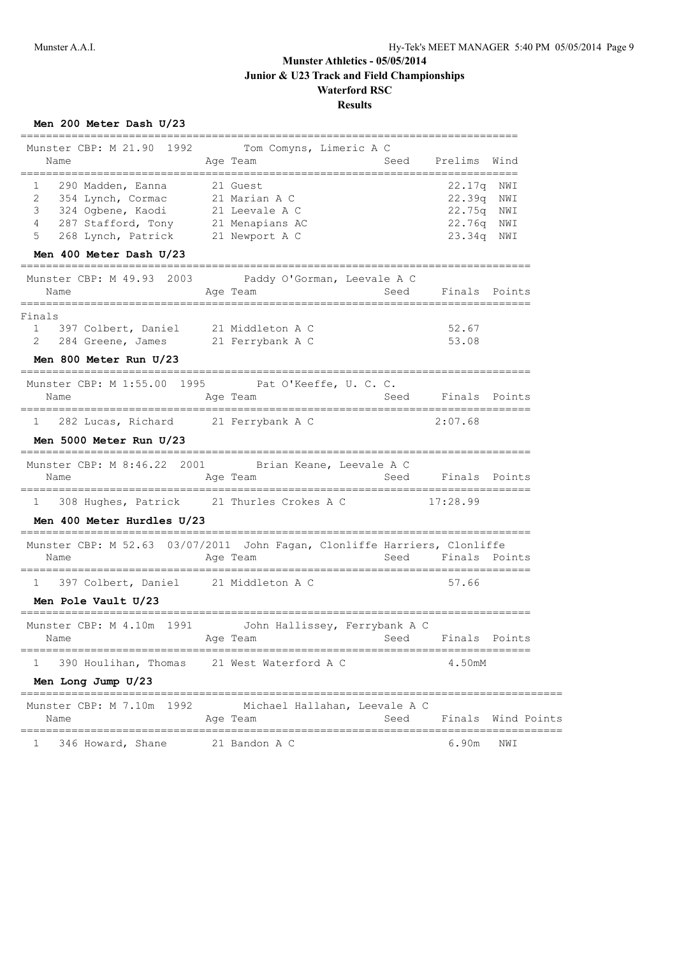| Men 200 Meter Dash U/23                                                   |                                                    |               |                                                |                    |
|---------------------------------------------------------------------------|----------------------------------------------------|---------------|------------------------------------------------|--------------------|
| Munster CBP: M 21.90<br>1992                                              | Tom Comyns, Limeric A C                            |               |                                                |                    |
| Name                                                                      | Age Team                                           | Seed          | Prelims                                        | Wind               |
| ======================================<br>290 Madden, Eanna<br>1          | 21 Guest                                           | ============= | ============<br>22.17q NWI                     |                    |
| 2<br>354 Lynch, Cormac                                                    | 21 Marian A C                                      |               | 22.39q                                         | NWI                |
| 3<br>324 Ogbene, Kaodi                                                    | 21 Leevale A C                                     |               | 22.75q                                         | NWI                |
| 287 Stafford, Tony 21 Menapians AC<br>4                                   |                                                    |               | 22.76q NWI                                     |                    |
| 5<br>268 Lynch, Patrick 21 Newport A C                                    |                                                    |               | 23.34q NWI                                     |                    |
| Men 400 Meter Dash U/23                                                   |                                                    |               |                                                |                    |
| 2003<br>Munster CBP: M 49.93                                              | Paddy O'Gorman, Leevale A C                        |               |                                                |                    |
| Name<br>==================                                                | Age Team<br>========================               | Seed          | Finals Points                                  |                    |
| Finals                                                                    |                                                    |               |                                                |                    |
| $\mathbf{1}$<br>397 Colbert, Daniel                                       | 21 Middleton A C                                   |               | 52.67                                          |                    |
| 284 Greene, James 21 Ferrybank A C<br>2                                   |                                                    |               | 53.08                                          |                    |
| Men 800 Meter Run U/23                                                    |                                                    |               |                                                |                    |
| ______________________<br>Munster CBP: M 1:55.00                          | 1995 Pat O'Keeffe, U. C. C.                        |               |                                                |                    |
| Name                                                                      | Age Team                                           | Seed          | Finals                                         | Points             |
|                                                                           |                                                    |               |                                                |                    |
| 282 Lucas, Richard 21 Ferrybank A C<br>$\mathbf{1}$                       |                                                    |               | 2:07.68                                        |                    |
| Men 5000 Meter Run U/23                                                   |                                                    |               |                                                |                    |
| Munster CBP: M 8:46.22 2001                                               | =================<br>Brian Keane, Leevale A C      |               |                                                |                    |
| Name                                                                      | Age Team                                           | Seed          | Finals Points                                  |                    |
| 308 Hughes, Patrick 21 Thurles Crokes A C<br>ı.                           |                                                    |               | 17:28.99                                       |                    |
| Men 400 Meter Hurdles U/23                                                |                                                    |               |                                                |                    |
| Munster CBP: M 52.63 03/07/2011 John Fagan, Clonliffe Harriers, Clonliffe |                                                    |               | =================================              |                    |
| Name                                                                      | Age Team                                           | Seed          | Finals Points                                  |                    |
| 397 Colbert, Daniel 21 Middleton A C<br>$\mathbf{1}$                      |                                                    |               | 57.66                                          |                    |
| Men Pole Vault U/23                                                       |                                                    |               |                                                |                    |
| Munster CBP: M 4.10m 1991                                                 | John Hallissey, Ferrybank A C                      |               |                                                |                    |
| Name                                                                      | Age Team                                           | Seed          | Finals Points                                  |                    |
| ====================================<br>390 Houlihan, Thomas<br>ı         | 21 West Waterford A C                              |               | 4.50mM                                         |                    |
| Men Long Jump U/23                                                        |                                                    |               |                                                |                    |
| ==================<br>1992<br>Munster CBP: M 7.10m                        | Michael Hallahan, Leevale A C                      |               |                                                |                    |
| Name                                                                      | Age Team                                           | Seed          |                                                | Finals Wind Points |
| =================<br>346 Howard, Shane<br>ı                               | =================================<br>21 Bandon A C |               | =====================================<br>6.90m | NWI                |